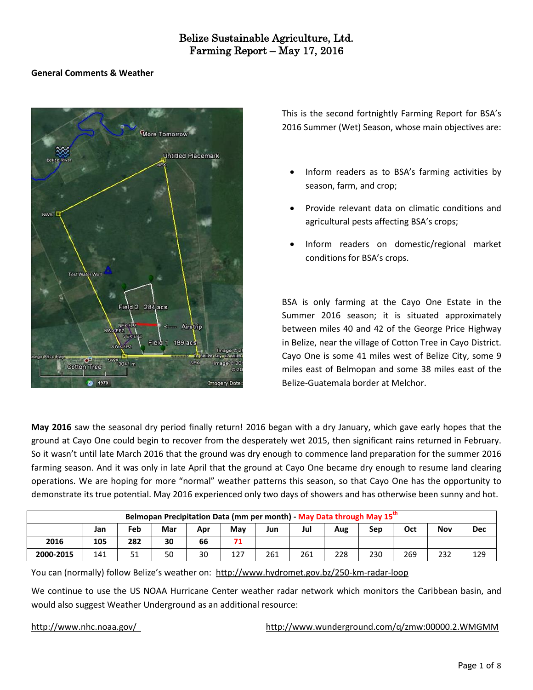#### **General Comments & Weather**



This is the second fortnightly Farming Report for BSA's 2016 Summer (Wet) Season, whose main objectives are:

- Inform readers as to BSA's farming activities by season, farm, and crop;
- Provide relevant data on climatic conditions and agricultural pests affecting BSA's crops;
- Inform readers on domestic/regional market conditions for BSA's crops.

BSA is only farming at the Cayo One Estate in the Summer 2016 season; it is situated approximately between miles 40 and 42 of the George Price Highway in Belize, near the village of Cotton Tree in Cayo District. Cayo One is some 41 miles west of Belize City, some 9 miles east of Belmopan and some 38 miles east of the Belize-Guatemala border at Melchor.

**May 2016** saw the seasonal dry period finally return! 2016 began with a dry January, which gave early hopes that the ground at Cayo One could begin to recover from the desperately wet 2015, then significant rains returned in February. So it wasn't until late March 2016 that the ground was dry enough to commence land preparation for the summer 2016 farming season. And it was only in late April that the ground at Cayo One became dry enough to resume land clearing operations. We are hoping for more "normal" weather patterns this season, so that Cayo One has the opportunity to demonstrate its true potential. May 2016 experienced only two days of showers and has otherwise been sunny and hot.

| Belmopan Precipitation Data (mm per month) - May Data through May 15 <sup>th</sup> |     |     |     |     |     |     |     |     |     |     |     |            |  |
|------------------------------------------------------------------------------------|-----|-----|-----|-----|-----|-----|-----|-----|-----|-----|-----|------------|--|
|                                                                                    | Jan | Feb | Mar | Apr | Mav | Jun | Jul | Aug | Sep | Oct | Nov | <b>Dec</b> |  |
| 2016                                                                               | 105 | 282 | 30  | 66  | 71  |     |     |     |     |     |     |            |  |
| 2000-2015                                                                          | 141 | 51  | 50  | 30  | 127 | 261 | 261 | 228 | 230 | 269 | 232 | 129        |  |

You can (normally) follow Belize's weather on: <http://www.hydromet.gov.bz/250-km-radar-loop>

We continue to use the US NOAA Hurricane Center weather radar network which monitors the Caribbean basin, and would also suggest Weather Underground as an additional resource:

<http://www.nhc.noaa.gov/><http://www.wunderground.com/q/zmw:00000.2.WMGMM>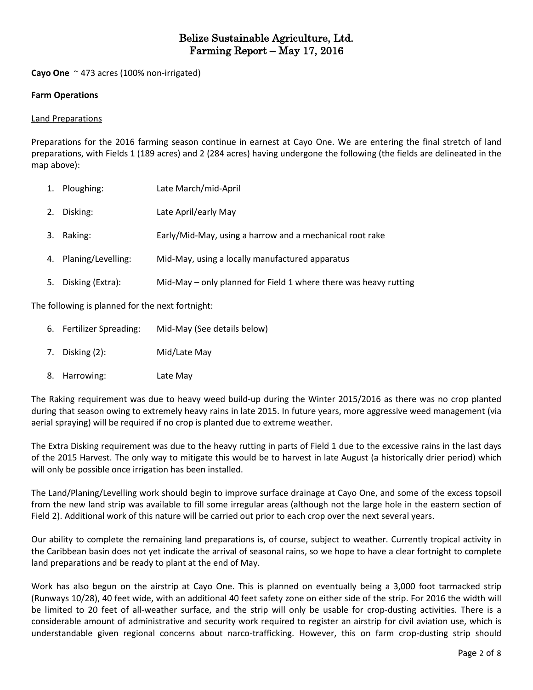**Cayo One** ~ 473 acres (100% non-irrigated)

#### **Farm Operations**

#### Land Preparations

Preparations for the 2016 farming season continue in earnest at Cayo One. We are entering the final stretch of land preparations, with Fields 1 (189 acres) and 2 (284 acres) having undergone the following (the fields are delineated in the map above):

|    | 1. Ploughing:         | Late March/mid-April                                             |
|----|-----------------------|------------------------------------------------------------------|
|    | 2. Disking:           | Late April/early May                                             |
| 3. | Raking:               | Early/Mid-May, using a harrow and a mechanical root rake         |
|    | 4. Planing/Levelling: | Mid-May, using a locally manufactured apparatus                  |
| 5. | Disking (Extra):      | Mid-May – only planned for Field 1 where there was heavy rutting |

The following is planned for the next fortnight:

- 6. Fertilizer Spreading: Mid-May (See details below)
- 7. Disking (2): Mid/Late May
- 8. Harrowing: Late May

The Raking requirement was due to heavy weed build-up during the Winter 2015/2016 as there was no crop planted during that season owing to extremely heavy rains in late 2015. In future years, more aggressive weed management (via aerial spraying) will be required if no crop is planted due to extreme weather.

The Extra Disking requirement was due to the heavy rutting in parts of Field 1 due to the excessive rains in the last days of the 2015 Harvest. The only way to mitigate this would be to harvest in late August (a historically drier period) which will only be possible once irrigation has been installed.

The Land/Planing/Levelling work should begin to improve surface drainage at Cayo One, and some of the excess topsoil from the new land strip was available to fill some irregular areas (although not the large hole in the eastern section of Field 2). Additional work of this nature will be carried out prior to each crop over the next several years.

Our ability to complete the remaining land preparations is, of course, subject to weather. Currently tropical activity in the Caribbean basin does not yet indicate the arrival of seasonal rains, so we hope to have a clear fortnight to complete land preparations and be ready to plant at the end of May.

Work has also begun on the airstrip at Cayo One. This is planned on eventually being a 3,000 foot tarmacked strip (Runways 10/28), 40 feet wide, with an additional 40 feet safety zone on either side of the strip. For 2016 the width will be limited to 20 feet of all-weather surface, and the strip will only be usable for crop-dusting activities. There is a considerable amount of administrative and security work required to register an airstrip for civil aviation use, which is understandable given regional concerns about narco-trafficking. However, this on farm crop-dusting strip should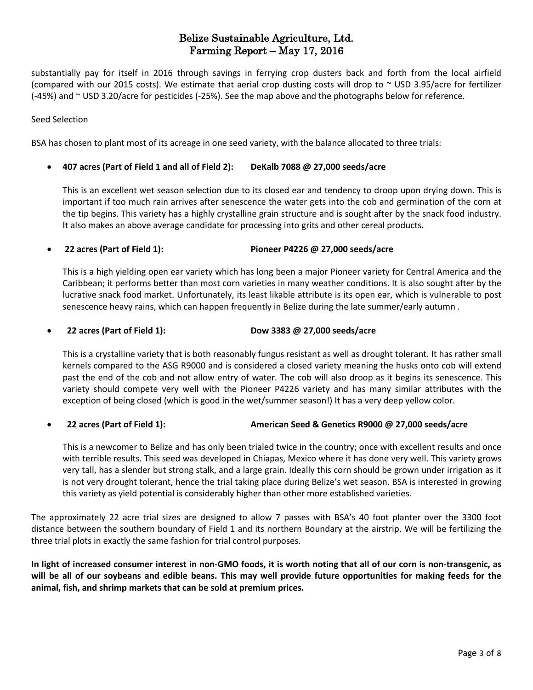substantially pay for itself in 2016 through savings in ferrying crop dusters back and forth from the local airfield (compared with our 2015 costs). We estimate that aerial crop dusting costs will drop to  $\sim$  USD 3.95/acre for fertilizer (-45%) and ~ USD 3.20/acre for pesticides (-25%). See the map above and the photographs below for reference.

#### Seed Selection

BSA has chosen to plant most of its acreage in one seed variety, with the balance allocated to three trials:

#### **407 acres (Part of Field 1 and all of Field 2): DeKalb 7088 @ 27,000 seeds/acre**

This is an excellent wet season selection due to its closed ear and tendency to droop upon drying down. This is important if too much rain arrives after senescence the water gets into the cob and germination of the corn at the tip begins. This variety has a highly crystalline grain structure and is sought after by the snack food industry. It also makes an above average candidate for processing into grits and other cereal products.

## **22 acres (Part of Field 1): Pioneer P4226 @ 27,000 seeds/acre**

This is a high yielding open ear variety which has long been a major Pioneer variety for Central America and the Caribbean; it performs better than most corn varieties in many weather conditions. It is also sought after by the lucrative snack food market. Unfortunately, its least likable attribute is its open ear, which is vulnerable to post senescence heavy rains, which can happen frequently in Belize during the late summer/early autumn .

### **22 acres (Part of Field 1): Dow 3383 @ 27,000 seeds/acre**

This is a crystalline variety that is both reasonably fungus resistant as well as drought tolerant. It has rather small kernels compared to the ASG R9000 and is considered a closed variety meaning the husks onto cob will extend past the end of the cob and not allow entry of water. The cob will also droop as it begins its senescence. This variety should compete very well with the Pioneer P4226 variety and has many similar attributes with the exception of being closed (which is good in the wet/summer season!) It has a very deep yellow color.

## **22 acres (Part of Field 1): American Seed & Genetics R9000 @ 27,000 seeds/acre**

This is a newcomer to Belize and has only been trialed twice in the country; once with excellent results and once with terrible results. This seed was developed in Chiapas, Mexico where it has done very well. This variety grows very tall, has a slender but strong stalk, and a large grain. Ideally this corn should be grown under irrigation as it is not very drought tolerant, hence the trial taking place during Belize's wet season. BSA is interested in growing this variety as yield potential is considerably higher than other more established varieties.

The approximately 22 acre trial sizes are designed to allow 7 passes with BSA's 40 foot planter over the 3300 foot distance between the southern boundary of Field 1 and its northern Boundary at the airstrip. We will be fertilizing the three trial plots in exactly the same fashion for trial control purposes.

In light of increased consumer interest in non-GMO foods, it is worth noting that all of our corn is non-transgenic, as will be all of our soybeans and edible beans. This may well provide future opportunities for making feeds for the **animal, fish, and shrimp markets that can be sold at premium prices.**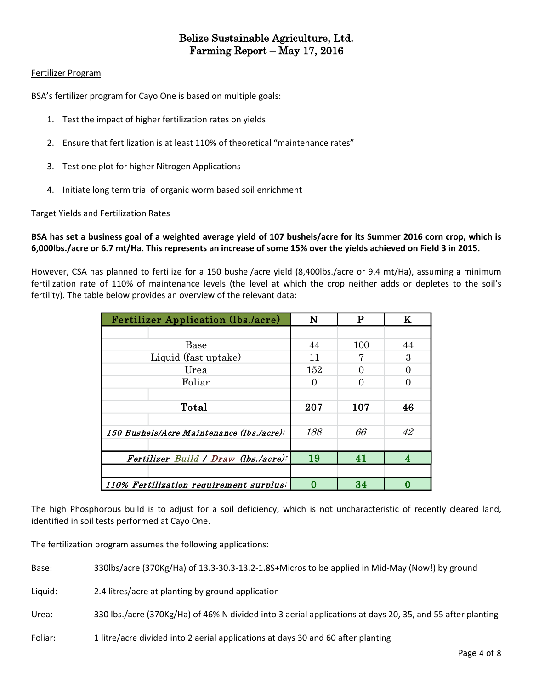#### Fertilizer Program

BSA's fertilizer program for Cayo One is based on multiple goals:

- 1. Test the impact of higher fertilization rates on yields
- 2. Ensure that fertilization is at least 110% of theoretical "maintenance rates"
- 3. Test one plot for higher Nitrogen Applications
- 4. Initiate long term trial of organic worm based soil enrichment

Target Yields and Fertilization Rates

BSA has set a business goal of a weighted average yield of 107 bushels/acre for its Summer 2016 corn crop, which is 6,000lbs./acre or 6.7 mt/Ha. This represents an increase of some 15% over the yields achieved on Field 3 in 2015.

However, CSA has planned to fertilize for a 150 bushel/acre yield (8,400lbs./acre or 9.4 mt/Ha), assuming a minimum fertilization rate of 110% of maintenance levels (the level at which the crop neither adds or depletes to the soil's fertility). The table below provides an overview of the relevant data:

| <b>Fertilizer Application (lbs./acre)</b> | N   | P   | $\bf K$ |
|-------------------------------------------|-----|-----|---------|
|                                           |     |     |         |
| <b>Base</b>                               | 44  | 100 | 44      |
| Liquid (fast uptake)                      | 11  |     | 3       |
| Urea                                      | 152 |     |         |
| Foliar                                    | 0   |     |         |
|                                           |     |     |         |
| Total                                     | 207 | 107 | 46      |
|                                           |     |     |         |
| 150 Bushels/Acre Maintenance (lbs./acre): | 188 | 66  | 42      |
|                                           |     |     |         |
| Fertilizer Build / Draw (lbs./acre):      | 19  | 41  |         |
|                                           |     |     |         |
| 110% Fertilization requirement surplus:   | 0   | 34  |         |

The high Phosphorous build is to adjust for a soil deficiency, which is not uncharacteristic of recently cleared land, identified in soil tests performed at Cayo One.

The fertilization program assumes the following applications:

Base: 330lbs/acre (370Kg/Ha) of 13.3-30.3-13.2-1.8S+Micros to be applied in Mid-May (Now!) by ground

Liquid: 2.4 litres/acre at planting by ground application

Urea: 330 lbs./acre (370Kg/Ha) of 46% N divided into 3 aerial applications at days 20, 35, and 55 after planting

Foliar: 1 litre/acre divided into 2 aerial applications at days 30 and 60 after planting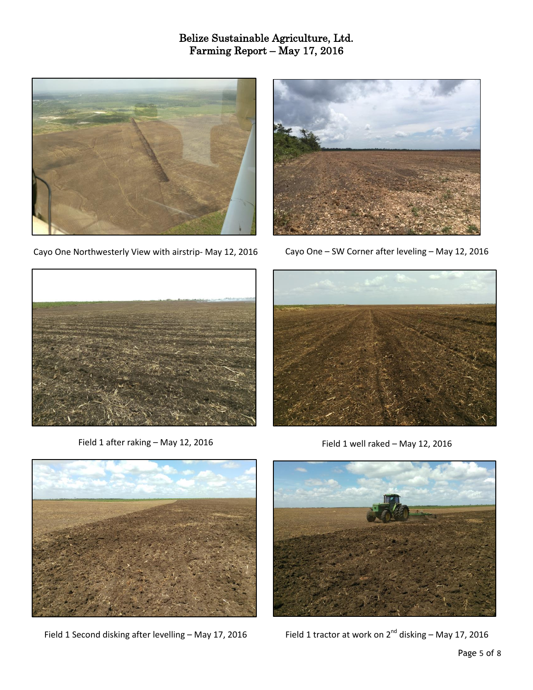

Cayo One Northwesterly View with airstrip- May 12, 2016



Cayo One – SW Corner after leveling – May 12, 2016



Field 1 after raking – May 12, 2016



Field 1 well raked – May 12, 2016



Field 1 Second disking after levelling – May 17, 2016



Field 1 tractor at work on  $2^{nd}$  disking – May 17, 2016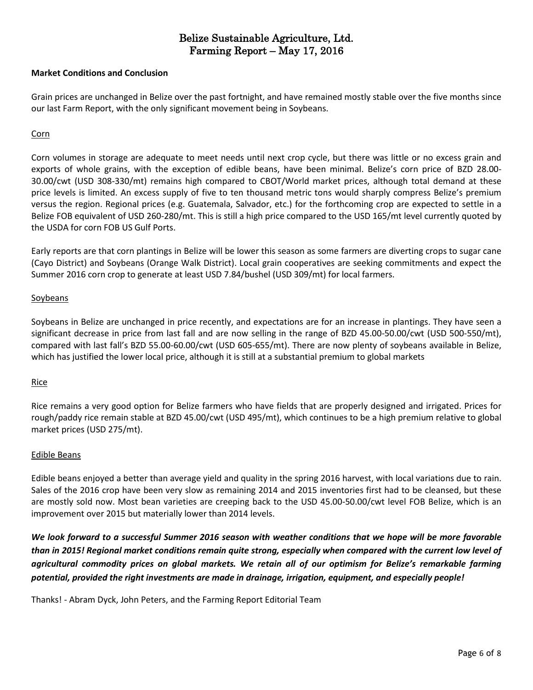#### **Market Conditions and Conclusion**

Grain prices are unchanged in Belize over the past fortnight, and have remained mostly stable over the five months since our last Farm Report, with the only significant movement being in Soybeans.

#### **Corn**

Corn volumes in storage are adequate to meet needs until next crop cycle, but there was little or no excess grain and exports of whole grains, with the exception of edible beans, have been minimal. Belize's corn price of BZD 28.00- 30.00/cwt (USD 308-330/mt) remains high compared to CBOT/World market prices, although total demand at these price levels is limited. An excess supply of five to ten thousand metric tons would sharply compress Belize's premium versus the region. Regional prices (e.g. Guatemala, Salvador, etc.) for the forthcoming crop are expected to settle in a Belize FOB equivalent of USD 260-280/mt. This is still a high price compared to the USD 165/mt level currently quoted by the USDA for corn FOB US Gulf Ports.

Early reports are that corn plantings in Belize will be lower this season as some farmers are diverting crops to sugar cane (Cayo District) and Soybeans (Orange Walk District). Local grain cooperatives are seeking commitments and expect the Summer 2016 corn crop to generate at least USD 7.84/bushel (USD 309/mt) for local farmers.

#### Soybeans

Soybeans in Belize are unchanged in price recently, and expectations are for an increase in plantings. They have seen a significant decrease in price from last fall and are now selling in the range of BZD 45.00-50.00/cwt (USD 500-550/mt), compared with last fall's BZD 55.00-60.00/cwt (USD 605-655/mt). There are now plenty of soybeans available in Belize, which has justified the lower local price, although it is still at a substantial premium to global markets

#### Rice

Rice remains a very good option for Belize farmers who have fields that are properly designed and irrigated. Prices for rough/paddy rice remain stable at BZD 45.00/cwt (USD 495/mt), which continues to be a high premium relative to global market prices (USD 275/mt).

#### Edible Beans

Edible beans enjoyed a better than average yield and quality in the spring 2016 harvest, with local variations due to rain. Sales of the 2016 crop have been very slow as remaining 2014 and 2015 inventories first had to be cleansed, but these are mostly sold now. Most bean varieties are creeping back to the USD 45.00-50.00/cwt level FOB Belize, which is an improvement over 2015 but materially lower than 2014 levels.

We look forward to a successful Summer 2016 season with weather conditions that we hope will be more favorable than in 2015! Regional market conditions remain quite strong, especially when compared with the current low level of *agricultural commodity prices on global markets. We retain all of our optimism for Belize's remarkable farming potential, provided the right investments are made in drainage, irrigation, equipment, and especially people!*

Thanks! - Abram Dyck, John Peters, and the Farming Report Editorial Team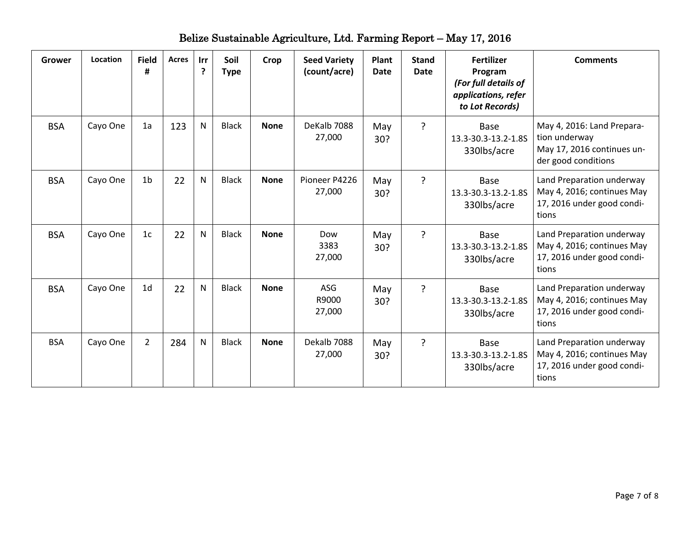| <b>Grower</b> | Location | <b>Field</b><br># | <b>Acres</b> | Irr<br>$\mathbf{P}$ | Soil<br><b>Type</b> | Crop        | <b>Seed Variety</b><br>(count/acre) | <b>Plant</b><br><b>Date</b> | <b>Stand</b><br><b>Date</b> | <b>Fertilizer</b><br>Program<br>(For full details of<br>applications, refer<br>to Lot Records) | <b>Comments</b>                                                                                  |
|---------------|----------|-------------------|--------------|---------------------|---------------------|-------------|-------------------------------------|-----------------------------|-----------------------------|------------------------------------------------------------------------------------------------|--------------------------------------------------------------------------------------------------|
| <b>BSA</b>    | Cayo One | 1a                | 123          | N                   | <b>Black</b>        | <b>None</b> | DeKalb 7088<br>27,000               | May<br>30?                  | ?                           | Base<br>13.3-30.3-13.2-1.8S<br>330lbs/acre                                                     | May 4, 2016: Land Prepara-<br>tion underway<br>May 17, 2016 continues un-<br>der good conditions |
| <b>BSA</b>    | Cayo One | 1 <sub>b</sub>    | 22           | N                   | <b>Black</b>        | <b>None</b> | Pioneer P4226<br>27,000             | May<br>30?                  | $\overline{?}$              | Base<br>13.3-30.3-13.2-1.8S<br>330lbs/acre                                                     | Land Preparation underway<br>May 4, 2016; continues May<br>17, 2016 under good condi-<br>tions   |
| <b>BSA</b>    | Cayo One | 1 <sub>c</sub>    | 22           | N                   | <b>Black</b>        | <b>None</b> | Dow<br>3383<br>27,000               | May<br>30?                  | ?                           | Base<br>13.3-30.3-13.2-1.8S<br>330lbs/acre                                                     | Land Preparation underway<br>May 4, 2016; continues May<br>17, 2016 under good condi-<br>tions   |
| <b>BSA</b>    | Cayo One | 1 <sub>d</sub>    | 22           | N                   | <b>Black</b>        | <b>None</b> | <b>ASG</b><br>R9000<br>27,000       | May<br>30?                  | $\overline{?}$              | Base<br>13.3-30.3-13.2-1.8S<br>330lbs/acre                                                     | Land Preparation underway<br>May 4, 2016; continues May<br>17, 2016 under good condi-<br>tions   |
| <b>BSA</b>    | Cayo One | $\overline{2}$    | 284          | N                   | <b>Black</b>        | <b>None</b> | Dekalb 7088<br>27,000               | May<br>30?                  | ?                           | Base<br>13.3-30.3-13.2-1.8S<br>330lbs/acre                                                     | Land Preparation underway<br>May 4, 2016; continues May<br>17, 2016 under good condi-<br>tions   |